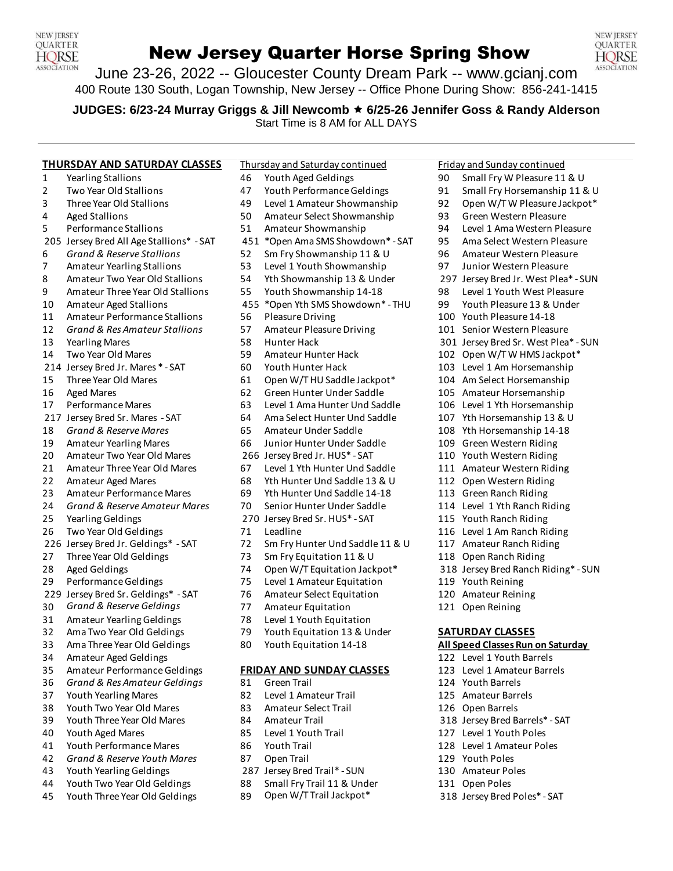

# New Jersey Quarter Horse Spring Show



June 23-26, 2022 -- Gloucester County Dream Park -- www.gcianj.com 400 Route 130 South, Logan Township, New Jersey -- Office Phone During Show: 856-241-1415

**JUDGES: 6/23-24 Murray Griggs & Jill Newcomb 6/25-26 Jennifer Goss & Randy Alderson**

Start Time is 8 AM for ALL DAYS

**THURSDAY AND SATURDAY CLASSES** Thursday and Saturday continued Friday and Sunday continued

- 
- Two Year Old Stallions 47 Youth PerformanceGeldings 91 Small Fry Horsemanship 11 & U
- 
- 
- Performance Stallions 51 Amateur Showmanship 94 Level 1 Ama Western Pleasure
- Jersey Bred All Age Stallions\* SAT 451 \*Open Ama SMS Showdown\* SAT 95 Ama Select Western Pleasure
- 
- 
- 8 Amateur Two Year Old Stallions 54 Yth Showmanship 13 & Under 297 Jersey Bred Jr. West Plea\* SUN
- 9 Amateur Three Year Old Stallions 55 Youth Showmanship 14-18 98 Level 1 Youth West Pleasure
- Amateur Aged Stallions 455 \*Open Yth SMS Showdown\* THU 99 Youth Pleasure 13 & Under
- Amateur Performance Stallions 56 PleasureDriving 100 Youth Pleasure 14-18
- *Grand & Res Amateur Stallions* 57 Amateur PleasureDriving 101 Senior Western Pleasure
- 13 Yearling Mares 198 1992 58 Hunter Hack 301 Jersey Bred Sr. West Plea\* SUN
- 
- 214 Jersey Bred Jr. Mares \* SAT 60 Youth Hunter Hack 103 Level 1 Am Horsemanship
- 
- 
- 
- 217 Jersey Bred Sr. Mares SAT 64 Ama Select Hunter Und Saddle 107 Yth Horsemanship 13 & U
- *Grand & Reserve Mares* 65 Amateur Under Saddle 108 Yth Horsemanship 14-18
- 
- 
- 
- 
- 23 Amateur Performance Mares 69 Yth Hunter Und Saddle 14-18 113 Green Ranch Riding
- *Grand & Reserve Amateur Mares* 70 Senior Hunter Under Saddle 114 Level 1 Yth Ranch Riding
- 
- Two Year Old Geldings 71 Leadline 116 Level 1 Am Ranch Riding
- 
- 
- 
- 
- Jersey Bred Sr. Geldings\* SAT 76 Amateur Select Equitation 120 Amateur Reining
- *Grand & Reserve Geldings* 77 Amateur Equitation 121 Open Reining
- 
- Ama Two Year Old Geldings 79 Youth Equitation 13 & Under **SATURDAY CLASSES**
- Ama Three Year Old Geldings 80 Youth Equitation 14-18 **All Speed Classes Run on Saturday**
- Amateur Aged Geldings 122 Level 1 Youth Barrels
- 
- *Grand & Res Amateur Geldings* 81 Green Trail 124 Youth Barrels
- 
- Youth Two Year Old Mares 83 Amateur Select Trail 126 Open Barrels
- Youth Three Year Old Mares 84 Amateur Trail 318 Jersey Bred Barrels\* SAT
- Youth Aged Mares 85 Level 1 Youth Trail 127 Level 1 Youth Poles
- Youth PerformanceMares 86 Youth Trail 128 Level 1 Amateur Poles
- *Grand & Reserve Youth Mares* 87 Open Trail 129 Youth Poles
- Youth Yearling Geldings 287 Jersey Bred Trail\* SUN 130 Amateur Poles
- 44 Youth Two Year Old Geldings 88 Small Fry Trail 11 & Under 131 Open Poles
- 45 Youth Three Year Old Geldings 89 Open W/T Trail Jackpot\* 318 Jersey Bred Poles\* SAT
- Yearling Stallions 46 Youth Aged Geldings 90 Small Fry W Pleasure 11 & U
	-
- Three Year Old Stallions 49 Level 1 Amateur Showmanship 92 Open W/T W Pleasure Jackpot\*
- Aged Stallions 50 Amateur Select Showmanship 93 Green Western Pleasure
	-
	-
- *Grand & Reserve Stallions* 52 Sm Fry Showmanship 11 & U 96 Amateur Western Pleasure
- Amateur Yearling Stallions 53 Level 1 Youth Showmanship 97 Junior Western Pleasure
	-
	-
	-
	-
	-
	-
- 14 Two Year Old Mares 102 Open W/T W HMS Jackpot\* 59 Amateur Hunter Hack 102 Open W/T W HMS Jackpot
	-
- Three Year Old Mares 61 Open W/THU Saddle Jackpot\* 104 Am Select Horsemanship
- Aged Mares 62 Green Hunter Under Saddle 105 Amateur Horsemanship
- PerformanceMares 63 Level 1 Ama Hunter Und Saddle 106 Level 1 Yth Horsemanship
	-
	-
- Amateur Yearling Mares 66 Junior Hunter Under Saddle 109 Green Western Riding
- Amateur Two Year Old Mares 266 Jersey Bred Jr. HUS\* SAT 110 Youth Western Riding
- 21 Amateur Three Year Old Mares 67 Level 1 Yth Hunter Und Saddle 111 Amateur Western Riding
- 22 Amateur Aged Mares 68 Yth Hunter Und Saddle 13 & U 112 Open Western Riding
	-
	-
- Yearling Geldings 270 Jersey Bred Sr. HUS\* SAT 115 Youth Ranch Riding
	-
- 226 Jersey Bred Jr. Geldings\* SAT 72 Sm Fry Hunter Und Saddle 11 & U 117 Amateur Ranch Riding
- 27 Three Year Old Geldings 73 Sm Fry Equitation 11 & U 118 Open Ranch Riding
- Aged Geldings 74 Open W/T Equitation Jackpot\* 318 Jersey Bred Ranch Riding\* SUN
- PerformanceGeldings 75 Level 1 Amateur Equitation 119 Youth Reining
	-
	-
- Amateur Yearling Geldings 78 Level 1 Youth Equitation
	-
	-

#### Amateur PerformanceGeldings **FRIDAY AND SUNDAY CLASSES** 123 Level 1 Amateur Barrels

- 
- Youth Yearling Mares 82 Level 1 Amateur Trail 125 Amateur Barrels
	-
	-